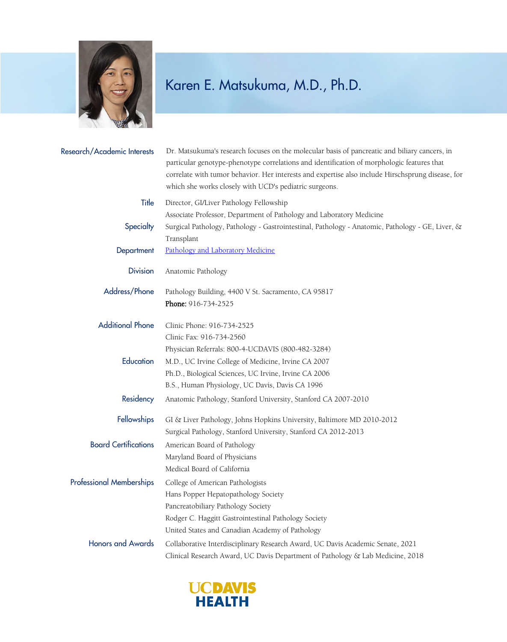

## Karen E. Matsukuma, M.D., Ph.D.

| Research/Academic Interests     | Dr. Matsukuma's research focuses on the molecular basis of pancreatic and biliary cancers, in<br>particular genotype-phenotype correlations and identification of morphologic features that<br>correlate with tumor behavior. Her interests and expertise also include Hirschsprung disease, for<br>which she works closely with UCD's pediatric surgeons. |
|---------------------------------|------------------------------------------------------------------------------------------------------------------------------------------------------------------------------------------------------------------------------------------------------------------------------------------------------------------------------------------------------------|
| Title                           | Director, GI/Liver Pathology Fellowship<br>Associate Professor, Department of Pathology and Laboratory Medicine                                                                                                                                                                                                                                            |
| Specialty                       | Surgical Pathology, Pathology - Gastrointestinal, Pathology - Anatomic, Pathology - GE, Liver, &<br>Transplant                                                                                                                                                                                                                                             |
| Department                      | Pathology and Laboratory Medicine                                                                                                                                                                                                                                                                                                                          |
| <b>Division</b>                 | Anatomic Pathology                                                                                                                                                                                                                                                                                                                                         |
| Address/Phone                   | Pathology Building, 4400 V St. Sacramento, CA 95817                                                                                                                                                                                                                                                                                                        |
|                                 | Phone: 916-734-2525                                                                                                                                                                                                                                                                                                                                        |
| <b>Additional Phone</b>         | Clinic Phone: 916-734-2525                                                                                                                                                                                                                                                                                                                                 |
|                                 | Clinic Fax: 916-734-2560                                                                                                                                                                                                                                                                                                                                   |
|                                 | Physician Referrals: 800-4-UCDAVIS (800-482-3284)                                                                                                                                                                                                                                                                                                          |
| Education                       | M.D., UC Irvine College of Medicine, Irvine CA 2007                                                                                                                                                                                                                                                                                                        |
|                                 | Ph.D., Biological Sciences, UC Irvine, Irvine CA 2006                                                                                                                                                                                                                                                                                                      |
|                                 | B.S., Human Physiology, UC Davis, Davis CA 1996                                                                                                                                                                                                                                                                                                            |
| Residency                       | Anatomic Pathology, Stanford University, Stanford CA 2007-2010                                                                                                                                                                                                                                                                                             |
| Fellowships                     | GI & Liver Pathology, Johns Hopkins University, Baltimore MD 2010-2012                                                                                                                                                                                                                                                                                     |
|                                 | Surgical Pathology, Stanford University, Stanford CA 2012-2013                                                                                                                                                                                                                                                                                             |
| <b>Board Certifications</b>     | American Board of Pathology                                                                                                                                                                                                                                                                                                                                |
|                                 | Maryland Board of Physicians                                                                                                                                                                                                                                                                                                                               |
|                                 | Medical Board of California                                                                                                                                                                                                                                                                                                                                |
| <b>Professional Memberships</b> | College of American Pathologists                                                                                                                                                                                                                                                                                                                           |
|                                 | Hans Popper Hepatopathology Society                                                                                                                                                                                                                                                                                                                        |
|                                 | Pancreatobiliary Pathology Society                                                                                                                                                                                                                                                                                                                         |
|                                 | Rodger C. Haggitt Gastrointestinal Pathology Society                                                                                                                                                                                                                                                                                                       |
|                                 | United States and Canadian Academy of Pathology                                                                                                                                                                                                                                                                                                            |
| <b>Honors and Awards</b>        | Collaborative Interdisciplinary Research Award, UC Davis Academic Senate, 2021                                                                                                                                                                                                                                                                             |
|                                 | Clinical Research Award, UC Davis Department of Pathology & Lab Medicine, 2018                                                                                                                                                                                                                                                                             |

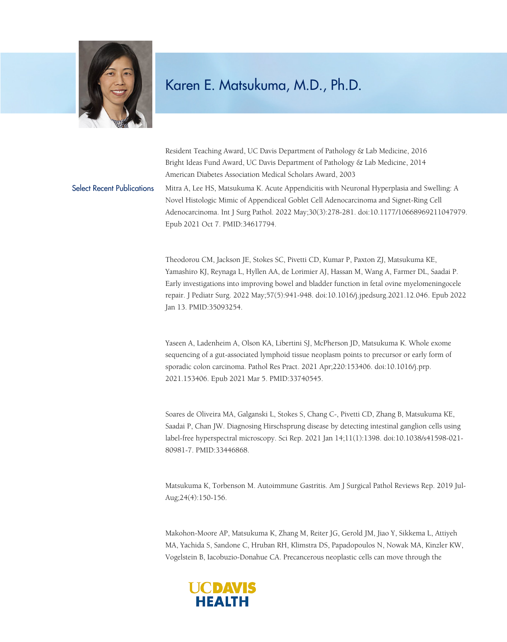

## Karen E. Matsukuma, M.D., Ph.D.

Resident Teaching Award, UC Davis Department of Pathology & Lab Medicine, 2016 Bright Ideas Fund Award, UC Davis Department of Pathology & Lab Medicine, 2014 American Diabetes Association Medical Scholars Award, 2003

Select Recent Publications Mitra A, Lee HS, Matsukuma K. Acute Appendicitis with Neuronal Hyperplasia and Swelling: A Novel Histologic Mimic of Appendiceal Goblet Cell Adenocarcinoma and Signet-Ring Cell Adenocarcinoma. Int J Surg Pathol. 2022 May;30(3):278-281. doi:10.1177/10668969211047979. Epub 2021 Oct 7. PMID:34617794.

> Theodorou CM, Jackson JE, Stokes SC, Pivetti CD, Kumar P, Paxton ZJ, Matsukuma KE, Yamashiro KJ, Reynaga L, Hyllen AA, de Lorimier AJ, Hassan M, Wang A, Farmer DL, Saadai P. Early investigations into improving bowel and bladder function in fetal ovine myelomeningocele repair. J Pediatr Surg. 2022 May;57(5):941-948. doi:10.1016/j.jpedsurg.2021.12.046. Epub 2022 Jan 13. PMID:35093254.

Yaseen A, Ladenheim A, Olson KA, Libertini SJ, McPherson JD, Matsukuma K. Whole exome sequencing of a gut-associated lymphoid tissue neoplasm points to precursor or early form of sporadic colon carcinoma. Pathol Res Pract. 2021 Apr;220:153406. doi:10.1016/j.prp. 2021.153406. Epub 2021 Mar 5. PMID:33740545.

Soares de Oliveira MA, Galganski L, Stokes S, Chang C-, Pivetti CD, Zhang B, Matsukuma KE, Saadai P, Chan JW. Diagnosing Hirschsprung disease by detecting intestinal ganglion cells using label-free hyperspectral microscopy. Sci Rep. 2021 Jan 14;11(1):1398. doi:10.1038/s41598-021- 80981-7. PMID:33446868.

Matsukuma K, Torbenson M. Autoimmune Gastritis. Am J Surgical Pathol Reviews Rep. 2019 Jul-Aug;24(4):150-156.

Makohon-Moore AP, Matsukuma K, Zhang M, Reiter JG, Gerold JM, Jiao Y, Sikkema L, Attiyeh MA, Yachida S, Sandone C, Hruban RH, Klimstra DS, Papadopoulos N, Nowak MA, Kinzler KW, Vogelstein B, Iacobuzio-Donahue CA. Precancerous neoplastic cells can move through the